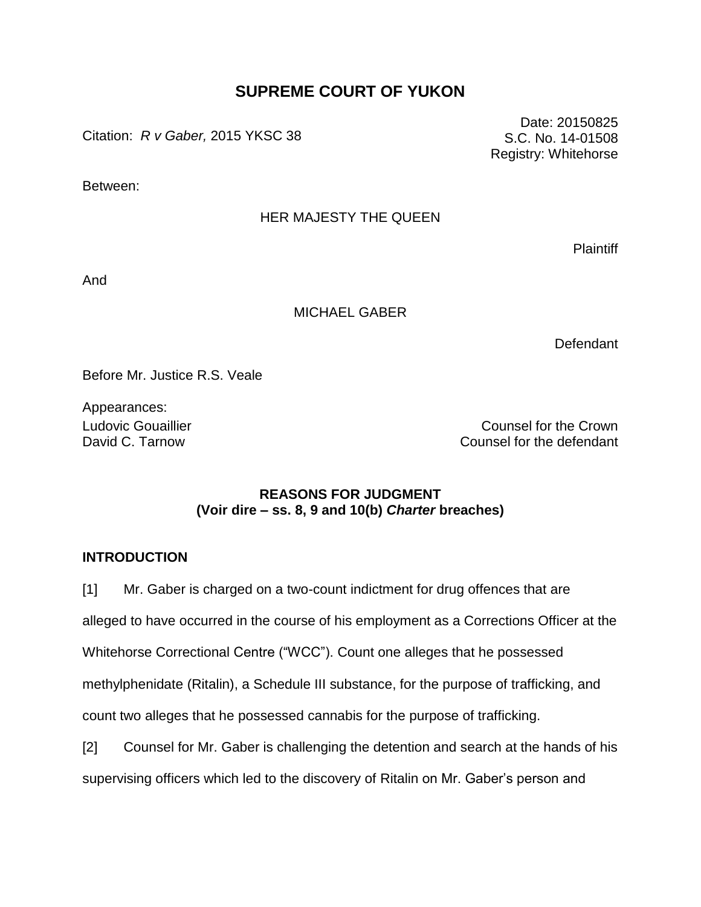## **SUPREME COURT OF YUKON**

Citation: *R v Gaber,* 2015 YKSC 38

Between:

## HER MAJESTY THE QUEEN

**Plaintiff** 

And

#### MICHAEL GABER

**Defendant** 

Before Mr. Justice R.S. Veale

Appearances:

Ludovic Gouaillier Counsel for the Crown Counsel for the Crown David C. Tarnow Counsel for the defendant

## **REASONS FOR JUDGMENT (Voir dire – ss. 8, 9 and 10(b)** *Charter* **breaches)**

## **INTRODUCTION**

[1] Mr. Gaber is charged on a two-count indictment for drug offences that are alleged to have occurred in the course of his employment as a Corrections Officer at the Whitehorse Correctional Centre ("WCC"). Count one alleges that he possessed methylphenidate (Ritalin), a Schedule III substance, for the purpose of trafficking, and count two alleges that he possessed cannabis for the purpose of trafficking. [2] Counsel for Mr. Gaber is challenging the detention and search at the hands of his

| Z | Counsel for Mr. Gaber is challenging the detention and search at the hands of his    |  |  |  |  |
|---|--------------------------------------------------------------------------------------|--|--|--|--|
|   | supervising officers which led to the discovery of Ritalin on Mr. Gaber's person and |  |  |  |  |

Date: 20150825 S.C. No. 14-01508 Registry: Whitehorse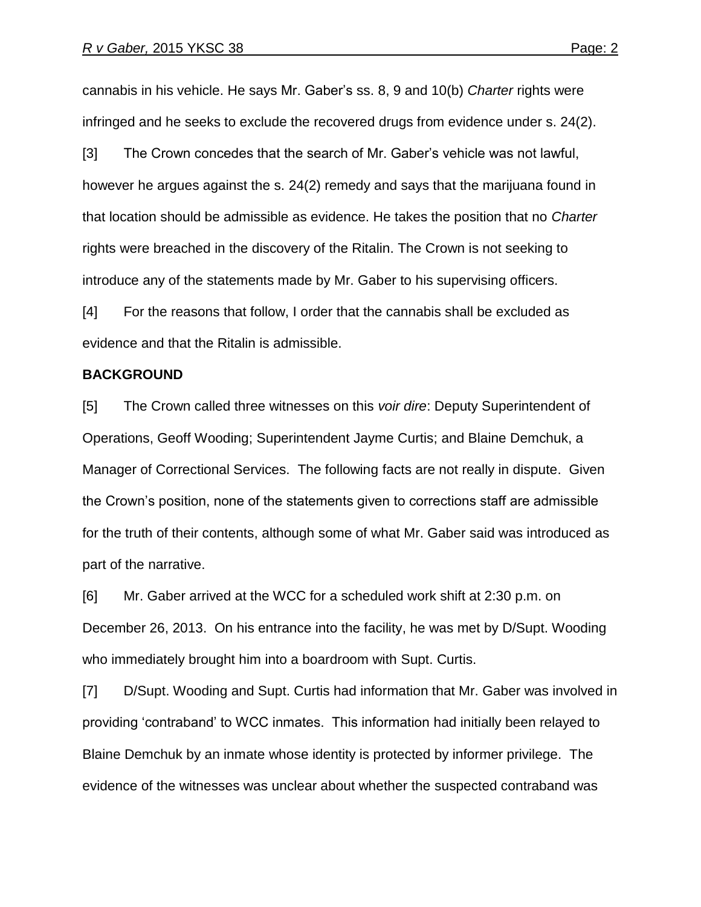cannabis in his vehicle. He says Mr. Gaber"s ss. 8, 9 and 10(b) *Charter* rights were infringed and he seeks to exclude the recovered drugs from evidence under s. 24(2).

[3] The Crown concedes that the search of Mr. Gaber's vehicle was not lawful, however he argues against the s. 24(2) remedy and says that the marijuana found in that location should be admissible as evidence. He takes the position that no *Charter* rights were breached in the discovery of the Ritalin. The Crown is not seeking to introduce any of the statements made by Mr. Gaber to his supervising officers.

[4] For the reasons that follow, I order that the cannabis shall be excluded as evidence and that the Ritalin is admissible.

#### **BACKGROUND**

[5] The Crown called three witnesses on this *voir dire*: Deputy Superintendent of Operations, Geoff Wooding; Superintendent Jayme Curtis; and Blaine Demchuk, a Manager of Correctional Services. The following facts are not really in dispute. Given the Crown"s position, none of the statements given to corrections staff are admissible for the truth of their contents, although some of what Mr. Gaber said was introduced as part of the narrative.

[6] Mr. Gaber arrived at the WCC for a scheduled work shift at 2:30 p.m. on December 26, 2013. On his entrance into the facility, he was met by D/Supt. Wooding who immediately brought him into a boardroom with Supt. Curtis.

[7] D/Supt. Wooding and Supt. Curtis had information that Mr. Gaber was involved in providing "contraband" to WCC inmates. This information had initially been relayed to Blaine Demchuk by an inmate whose identity is protected by informer privilege. The evidence of the witnesses was unclear about whether the suspected contraband was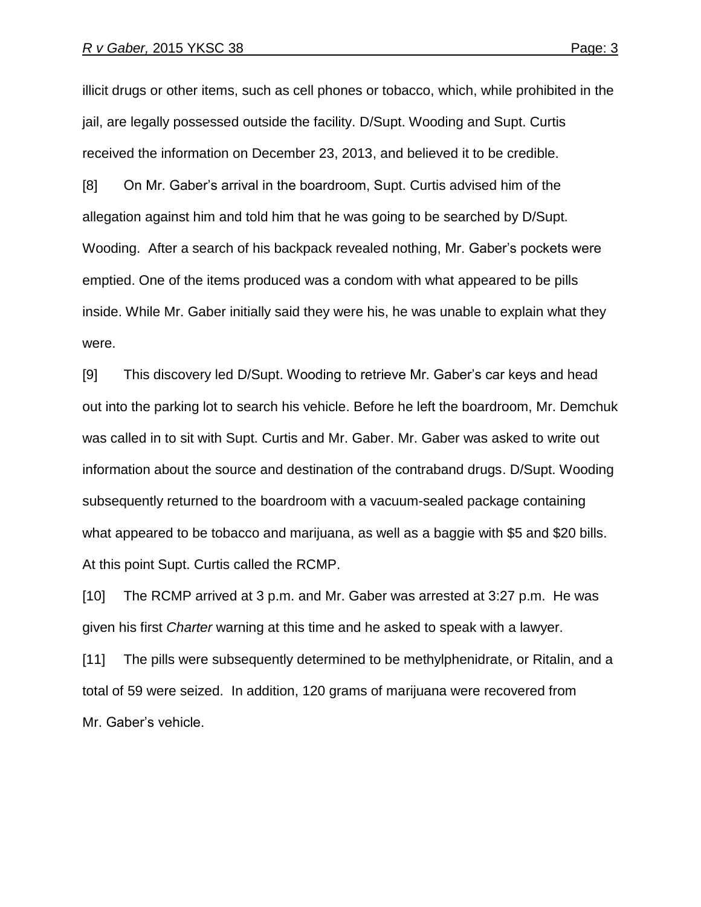illicit drugs or other items, such as cell phones or tobacco, which, while prohibited in the jail, are legally possessed outside the facility. D/Supt. Wooding and Supt. Curtis received the information on December 23, 2013, and believed it to be credible.

[8] On Mr. Gaber"s arrival in the boardroom, Supt. Curtis advised him of the allegation against him and told him that he was going to be searched by D/Supt. Wooding. After a search of his backpack revealed nothing, Mr. Gaber"s pockets were emptied. One of the items produced was a condom with what appeared to be pills inside. While Mr. Gaber initially said they were his, he was unable to explain what they were.

[9] This discovery led D/Supt. Wooding to retrieve Mr. Gaber"s car keys and head out into the parking lot to search his vehicle. Before he left the boardroom, Mr. Demchuk was called in to sit with Supt. Curtis and Mr. Gaber. Mr. Gaber was asked to write out information about the source and destination of the contraband drugs. D/Supt. Wooding subsequently returned to the boardroom with a vacuum-sealed package containing what appeared to be tobacco and marijuana, as well as a baggie with \$5 and \$20 bills. At this point Supt. Curtis called the RCMP.

[10] The RCMP arrived at 3 p.m. and Mr. Gaber was arrested at 3:27 p.m. He was given his first *Charter* warning at this time and he asked to speak with a lawyer.

[11] The pills were subsequently determined to be methylphenidrate, or Ritalin, and a total of 59 were seized. In addition, 120 grams of marijuana were recovered from Mr. Gaber"s vehicle.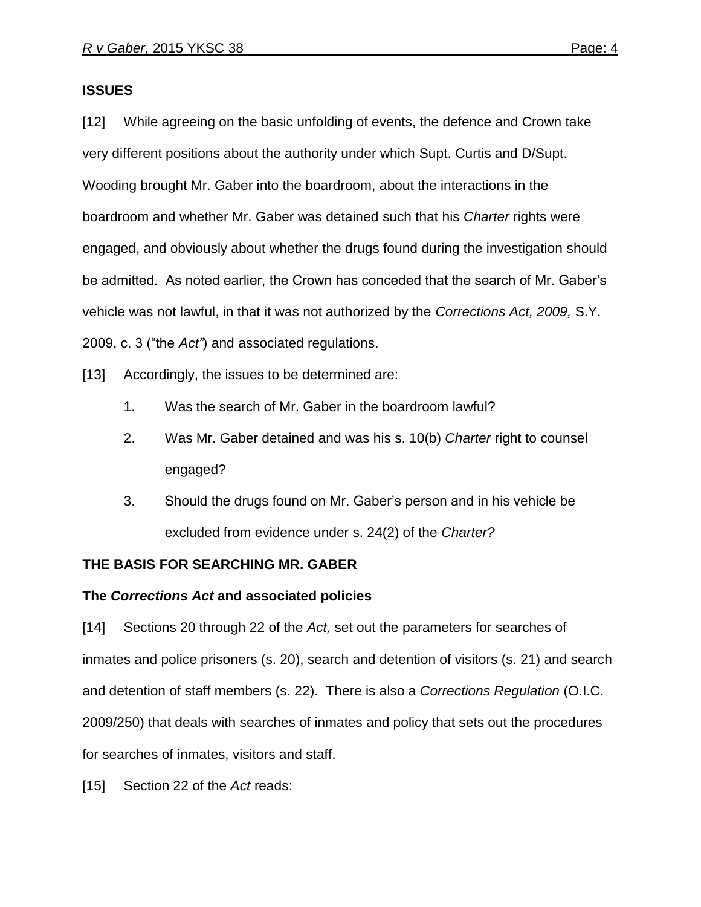#### **ISSUES**

[12] While agreeing on the basic unfolding of events, the defence and Crown take very different positions about the authority under which Supt. Curtis and D/Supt. Wooding brought Mr. Gaber into the boardroom, about the interactions in the boardroom and whether Mr. Gaber was detained such that his *Charter* rights were engaged, and obviously about whether the drugs found during the investigation should be admitted. As noted earlier, the Crown has conceded that the search of Mr. Gaber"s vehicle was not lawful, in that it was not authorized by the *Corrections Act, 2009,* S.Y. 2009, c. 3 ("the *Act"*) and associated regulations.

[13] Accordingly, the issues to be determined are:

- 1. Was the search of Mr. Gaber in the boardroom lawful?
- 2. Was Mr. Gaber detained and was his s. 10(b) *Charter* right to counsel engaged?
- 3. Should the drugs found on Mr. Gaber"s person and in his vehicle be excluded from evidence under s. 24(2) of the *Charter?*

## **THE BASIS FOR SEARCHING MR. GABER**

## **The** *Corrections Act* **and associated policies**

[14] Sections 20 through 22 of the *Act,* set out the parameters for searches of inmates and police prisoners (s. 20), search and detention of visitors (s. 21) and search and detention of staff members (s. 22). There is also a *Corrections Regulation* (O.I.C. 2009/250) that deals with searches of inmates and policy that sets out the procedures for searches of inmates, visitors and staff.

[15] Section 22 of the *Act* reads: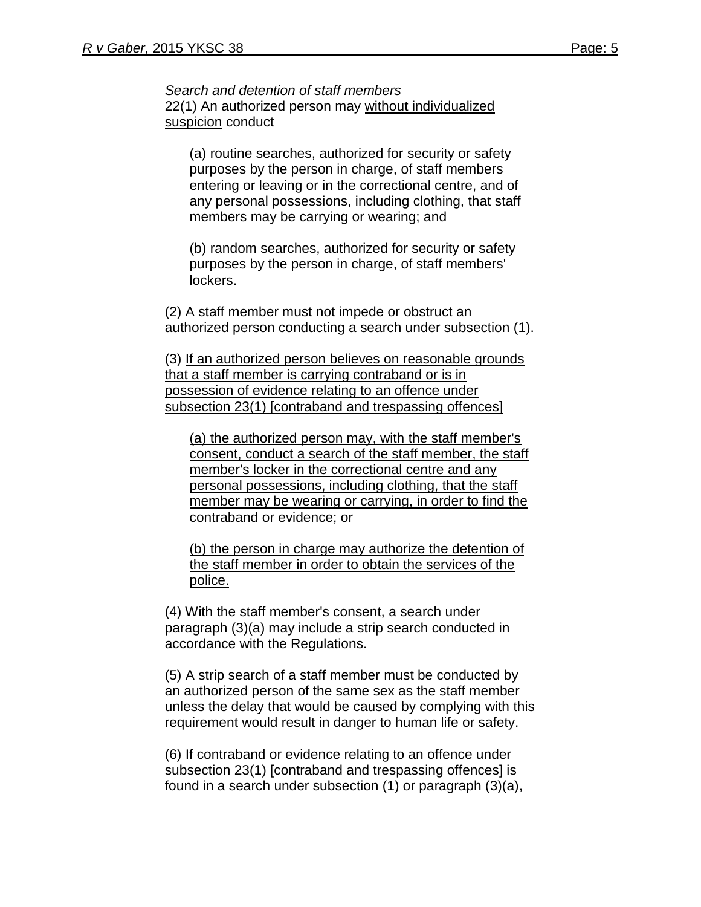*Search and detention of staff members* 22(1) An authorized person may without individualized suspicion conduct

(a) routine searches, authorized for security or safety purposes by the person in charge, of staff members entering or leaving or in the correctional centre, and of any personal possessions, including clothing, that staff members may be carrying or wearing; and

(b) random searches, authorized for security or safety purposes by the person in charge, of staff members' lockers.

(2) A staff member must not impede or obstruct an authorized person conducting a search under subsection (1).

(3) If an authorized person believes on reasonable grounds that a staff member is carrying contraband or is in possession of evidence relating to an offence under subsection 23(1) [contraband and trespassing offences]

(a) the authorized person may, with the staff member's consent, conduct a search of the staff member, the staff member's locker in the correctional centre and any personal possessions, including clothing, that the staff member may be wearing or carrying, in order to find the contraband or evidence; or

(b) the person in charge may authorize the detention of the staff member in order to obtain the services of the police.

(4) With the staff member's consent, a search under paragraph (3)(a) may include a strip search conducted in accordance with the Regulations.

(5) A strip search of a staff member must be conducted by an authorized person of the same sex as the staff member unless the delay that would be caused by complying with this requirement would result in danger to human life or safety.

(6) If contraband or evidence relating to an offence under subsection 23(1) [contraband and trespassing offences] is found in a search under subsection (1) or paragraph (3)(a),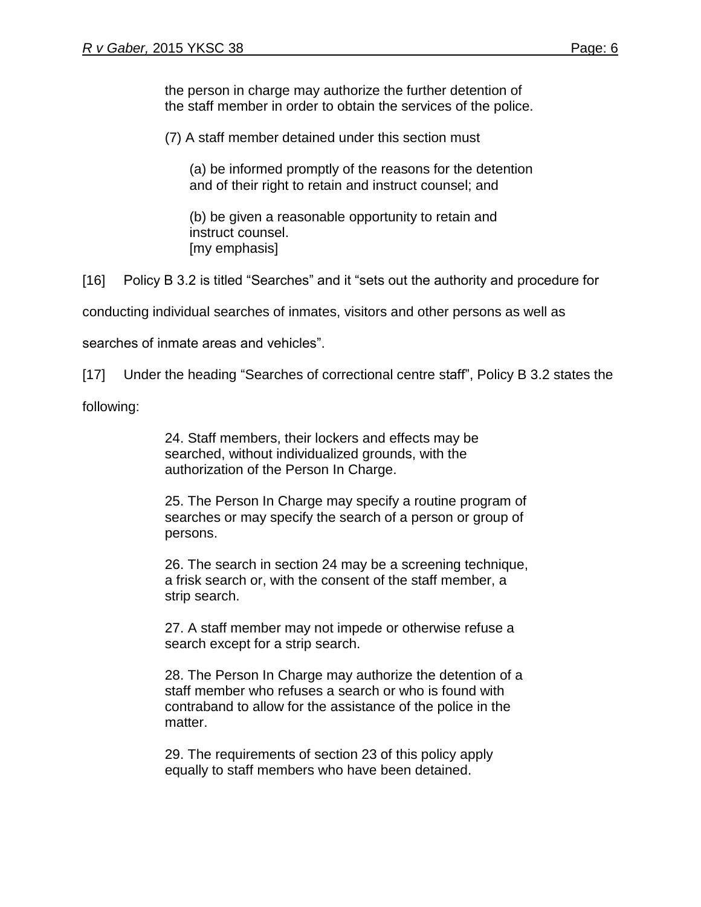the person in charge may authorize the further detention of the staff member in order to obtain the services of the police.

(7) A staff member detained under this section must

(a) be informed promptly of the reasons for the detention and of their right to retain and instruct counsel; and

(b) be given a reasonable opportunity to retain and instruct counsel. [my emphasis]

[16] Policy B 3.2 is titled "Searches" and it "sets out the authority and procedure for

conducting individual searches of inmates, visitors and other persons as well as

searches of inmate areas and vehicles".

[17] Under the heading "Searches of correctional centre staff", Policy B 3.2 states the

following:

24. Staff members, their lockers and effects may be searched, without individualized grounds, with the authorization of the Person In Charge.

25. The Person In Charge may specify a routine program of searches or may specify the search of a person or group of persons.

26. The search in section 24 may be a screening technique, a frisk search or, with the consent of the staff member, a strip search.

27. A staff member may not impede or otherwise refuse a search except for a strip search.

28. The Person In Charge may authorize the detention of a staff member who refuses a search or who is found with contraband to allow for the assistance of the police in the matter.

29. The requirements of section 23 of this policy apply equally to staff members who have been detained.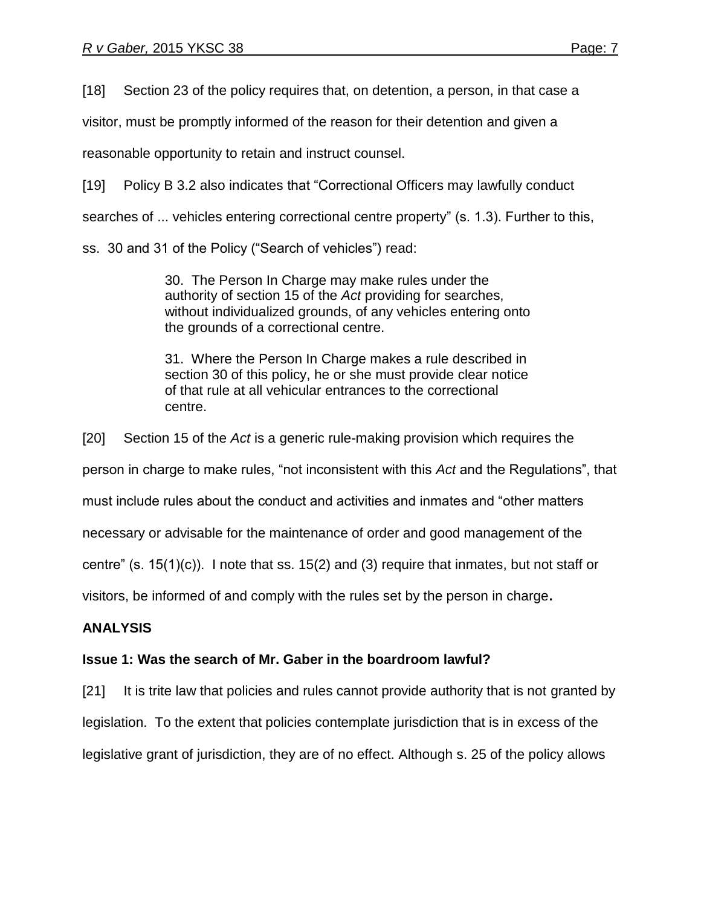[18] Section 23 of the policy requires that, on detention, a person, in that case a

visitor, must be promptly informed of the reason for their detention and given a

reasonable opportunity to retain and instruct counsel.

[19] Policy B 3.2 also indicates that "Correctional Officers may lawfully conduct

searches of ... vehicles entering correctional centre property" (s. 1.3). Further to this,

ss. 30 and 31 of the Policy ("Search of vehicles") read:

30. The Person In Charge may make rules under the authority of section 15 of the *Act* providing for searches, without individualized grounds, of any vehicles entering onto the grounds of a correctional centre.

31. Where the Person In Charge makes a rule described in section 30 of this policy, he or she must provide clear notice of that rule at all vehicular entrances to the correctional centre.

[20] Section 15 of the *Act* is a generic rule-making provision which requires the

person in charge to make rules, "not inconsistent with this *Act* and the Regulations", that

must include rules about the conduct and activities and inmates and "other matters

necessary or advisable for the maintenance of order and good management of the

centre" (s. 15(1)(c)). I note that ss. 15(2) and (3) require that inmates, but not staff or

visitors, be informed of and comply with the rules set by the person in charge**.** 

## **ANALYSIS**

## **Issue 1: Was the search of Mr. Gaber in the boardroom lawful?**

[21] It is trite law that policies and rules cannot provide authority that is not granted by legislation. To the extent that policies contemplate jurisdiction that is in excess of the legislative grant of jurisdiction, they are of no effect. Although s. 25 of the policy allows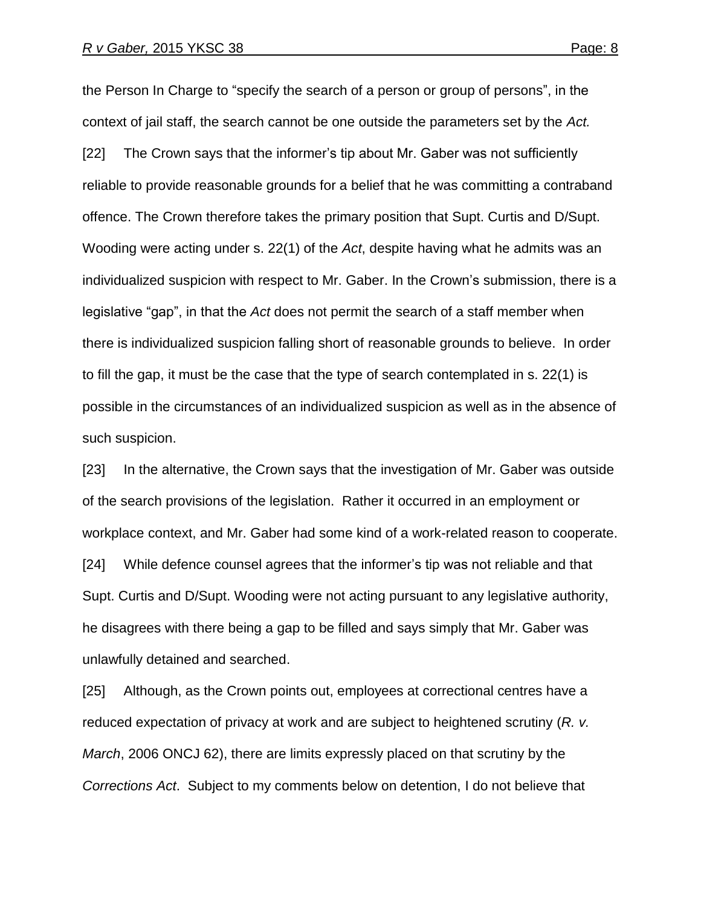the Person In Charge to "specify the search of a person or group of persons", in the context of jail staff, the search cannot be one outside the parameters set by the *Act.*  [22] The Crown says that the informer"s tip about Mr. Gaber was not sufficiently reliable to provide reasonable grounds for a belief that he was committing a contraband offence. The Crown therefore takes the primary position that Supt. Curtis and D/Supt. Wooding were acting under s. 22(1) of the *Act*, despite having what he admits was an individualized suspicion with respect to Mr. Gaber. In the Crown"s submission, there is a legislative "gap", in that the *Act* does not permit the search of a staff member when there is individualized suspicion falling short of reasonable grounds to believe. In order to fill the gap, it must be the case that the type of search contemplated in s. 22(1) is possible in the circumstances of an individualized suspicion as well as in the absence of such suspicion.

[23] In the alternative, the Crown says that the investigation of Mr. Gaber was outside of the search provisions of the legislation. Rather it occurred in an employment or workplace context, and Mr. Gaber had some kind of a work-related reason to cooperate. [24] While defence counsel agrees that the informer"s tip was not reliable and that Supt. Curtis and D/Supt. Wooding were not acting pursuant to any legislative authority, he disagrees with there being a gap to be filled and says simply that Mr. Gaber was unlawfully detained and searched.

[25] Although, as the Crown points out, employees at correctional centres have a reduced expectation of privacy at work and are subject to heightened scrutiny (*R. v. March*, 2006 ONCJ 62), there are limits expressly placed on that scrutiny by the *Corrections Act*. Subject to my comments below on detention, I do not believe that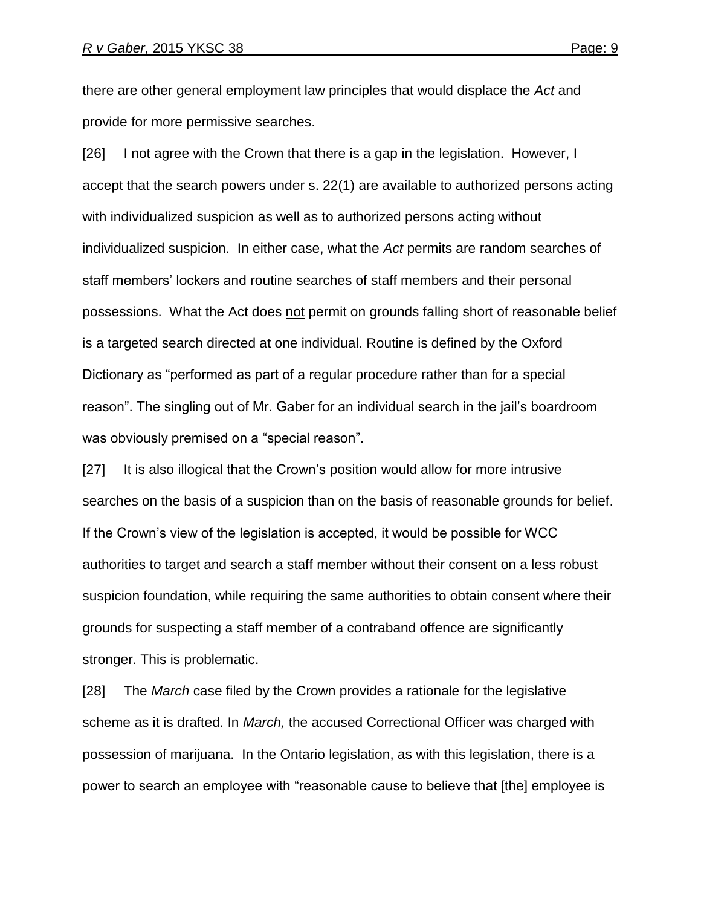there are other general employment law principles that would displace the *Act* and provide for more permissive searches.

[26] I not agree with the Crown that there is a gap in the legislation. However, I accept that the search powers under s. 22(1) are available to authorized persons acting with individualized suspicion as well as to authorized persons acting without individualized suspicion. In either case, what the *Act* permits are random searches of staff members' lockers and routine searches of staff members and their personal possessions. What the Act does not permit on grounds falling short of reasonable belief is a targeted search directed at one individual. Routine is defined by the Oxford Dictionary as "performed as part of a regular procedure rather than for a special reason". The singling out of Mr. Gaber for an individual search in the jail"s boardroom was obviously premised on a "special reason".

[27] It is also illogical that the Crown's position would allow for more intrusive searches on the basis of a suspicion than on the basis of reasonable grounds for belief. If the Crown"s view of the legislation is accepted, it would be possible for WCC authorities to target and search a staff member without their consent on a less robust suspicion foundation, while requiring the same authorities to obtain consent where their grounds for suspecting a staff member of a contraband offence are significantly stronger. This is problematic.

[28] The *March* case filed by the Crown provides a rationale for the legislative scheme as it is drafted. In *March,* the accused Correctional Officer was charged with possession of marijuana. In the Ontario legislation, as with this legislation, there is a power to search an employee with "reasonable cause to believe that [the] employee is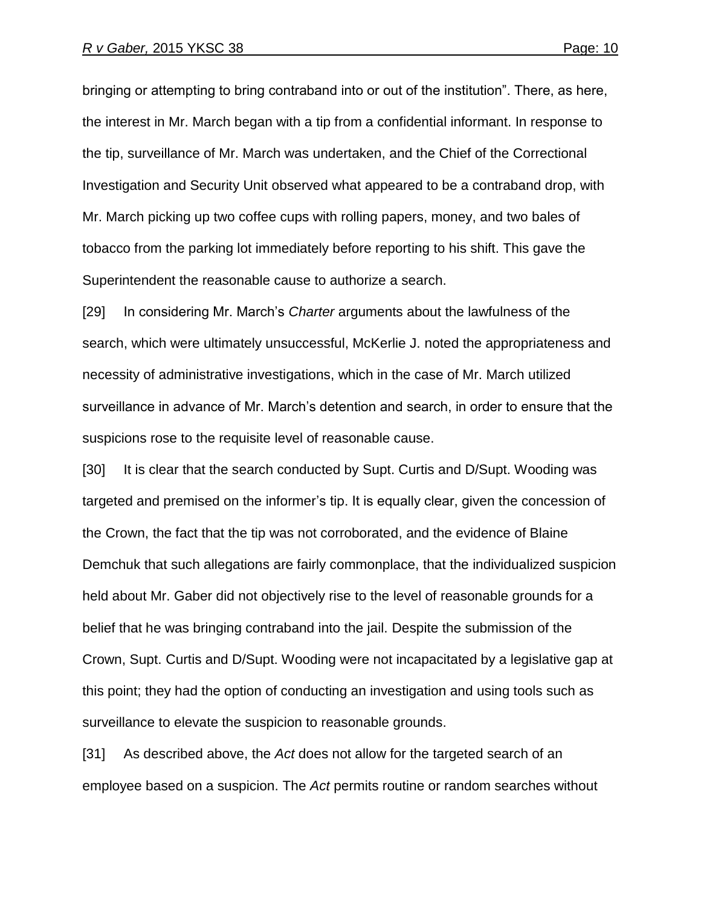bringing or attempting to bring contraband into or out of the institution". There, as here, the interest in Mr. March began with a tip from a confidential informant. In response to the tip, surveillance of Mr. March was undertaken, and the Chief of the Correctional Investigation and Security Unit observed what appeared to be a contraband drop, with Mr. March picking up two coffee cups with rolling papers, money, and two bales of tobacco from the parking lot immediately before reporting to his shift. This gave the Superintendent the reasonable cause to authorize a search.

[29] In considering Mr. March"s *Charter* arguments about the lawfulness of the search, which were ultimately unsuccessful, McKerlie J. noted the appropriateness and necessity of administrative investigations, which in the case of Mr. March utilized surveillance in advance of Mr. March"s detention and search, in order to ensure that the suspicions rose to the requisite level of reasonable cause.

[30] It is clear that the search conducted by Supt. Curtis and D/Supt. Wooding was targeted and premised on the informer"s tip. It is equally clear, given the concession of the Crown, the fact that the tip was not corroborated, and the evidence of Blaine Demchuk that such allegations are fairly commonplace, that the individualized suspicion held about Mr. Gaber did not objectively rise to the level of reasonable grounds for a belief that he was bringing contraband into the jail. Despite the submission of the Crown, Supt. Curtis and D/Supt. Wooding were not incapacitated by a legislative gap at this point; they had the option of conducting an investigation and using tools such as surveillance to elevate the suspicion to reasonable grounds.

[31] As described above, the *Act* does not allow for the targeted search of an employee based on a suspicion. The *Act* permits routine or random searches without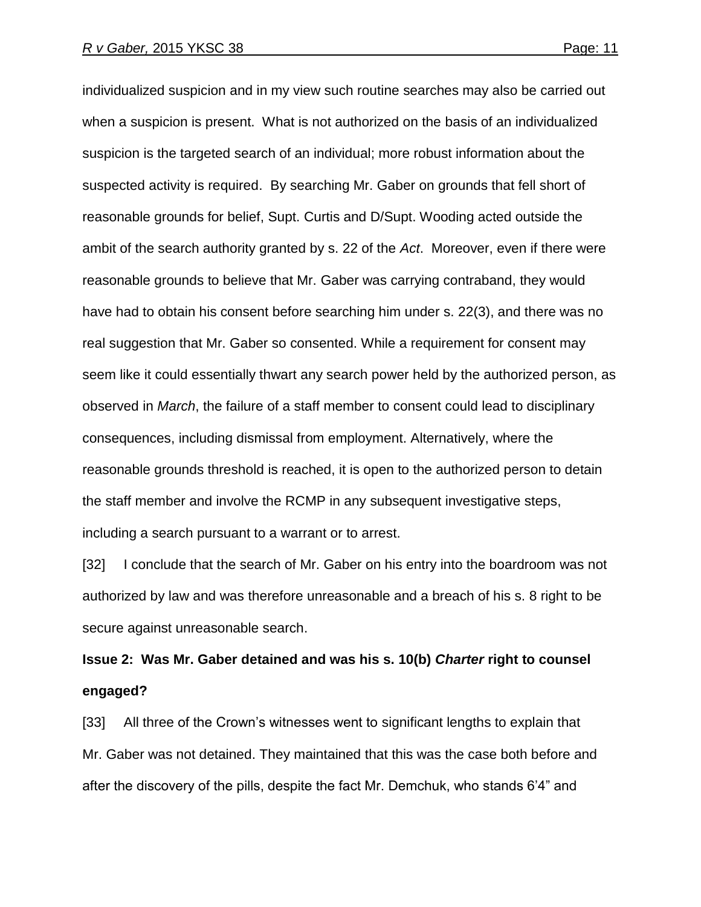individualized suspicion and in my view such routine searches may also be carried out when a suspicion is present. What is not authorized on the basis of an individualized suspicion is the targeted search of an individual; more robust information about the suspected activity is required. By searching Mr. Gaber on grounds that fell short of reasonable grounds for belief, Supt. Curtis and D/Supt. Wooding acted outside the ambit of the search authority granted by s. 22 of the *Act*. Moreover, even if there were reasonable grounds to believe that Mr. Gaber was carrying contraband, they would have had to obtain his consent before searching him under s. 22(3), and there was no real suggestion that Mr. Gaber so consented. While a requirement for consent may seem like it could essentially thwart any search power held by the authorized person, as observed in *March*, the failure of a staff member to consent could lead to disciplinary consequences, including dismissal from employment. Alternatively, where the reasonable grounds threshold is reached, it is open to the authorized person to detain the staff member and involve the RCMP in any subsequent investigative steps, including a search pursuant to a warrant or to arrest.

[32] I conclude that the search of Mr. Gaber on his entry into the boardroom was not authorized by law and was therefore unreasonable and a breach of his s. 8 right to be secure against unreasonable search.

**Issue 2: Was Mr. Gaber detained and was his s. 10(b)** *Charter* **right to counsel engaged?** 

[33] All three of the Crown's witnesses went to significant lengths to explain that Mr. Gaber was not detained. They maintained that this was the case both before and after the discovery of the pills, despite the fact Mr. Demchuk, who stands 6"4" and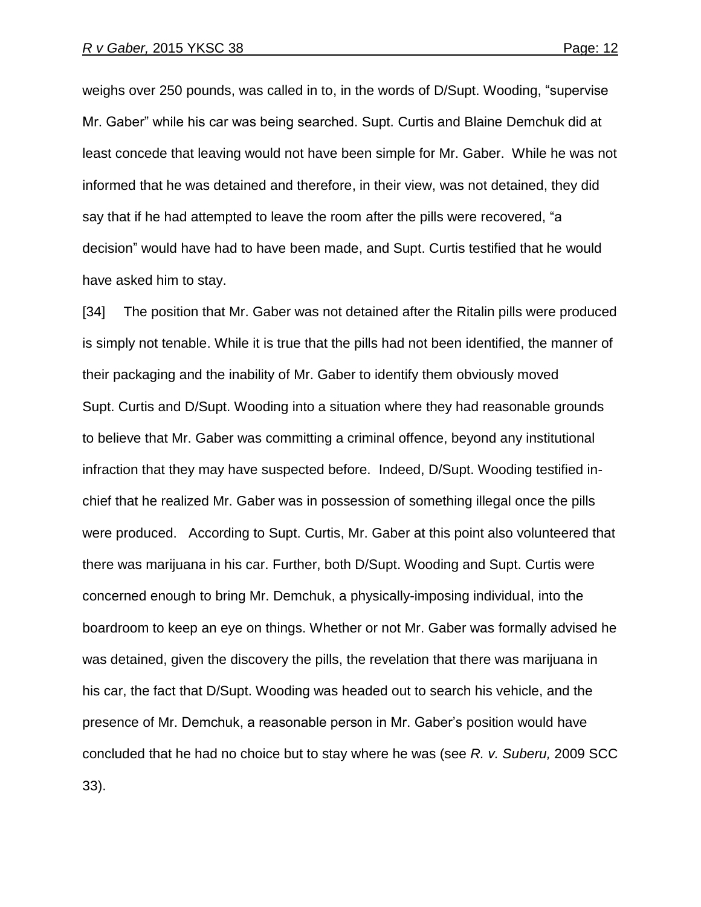weighs over 250 pounds, was called in to, in the words of D/Supt. Wooding, "supervise Mr. Gaber" while his car was being searched. Supt. Curtis and Blaine Demchuk did at least concede that leaving would not have been simple for Mr. Gaber. While he was not informed that he was detained and therefore, in their view, was not detained, they did say that if he had attempted to leave the room after the pills were recovered, "a decision" would have had to have been made, and Supt. Curtis testified that he would have asked him to stay.

[34] The position that Mr. Gaber was not detained after the Ritalin pills were produced is simply not tenable. While it is true that the pills had not been identified, the manner of their packaging and the inability of Mr. Gaber to identify them obviously moved Supt. Curtis and D/Supt. Wooding into a situation where they had reasonable grounds to believe that Mr. Gaber was committing a criminal offence, beyond any institutional infraction that they may have suspected before. Indeed, D/Supt. Wooding testified inchief that he realized Mr. Gaber was in possession of something illegal once the pills were produced. According to Supt. Curtis, Mr. Gaber at this point also volunteered that there was marijuana in his car. Further, both D/Supt. Wooding and Supt. Curtis were concerned enough to bring Mr. Demchuk, a physically-imposing individual, into the boardroom to keep an eye on things. Whether or not Mr. Gaber was formally advised he was detained, given the discovery the pills, the revelation that there was marijuana in his car, the fact that D/Supt. Wooding was headed out to search his vehicle, and the presence of Mr. Demchuk, a reasonable person in Mr. Gaber"s position would have concluded that he had no choice but to stay where he was (see *R. v. Suberu,* 2009 SCC 33).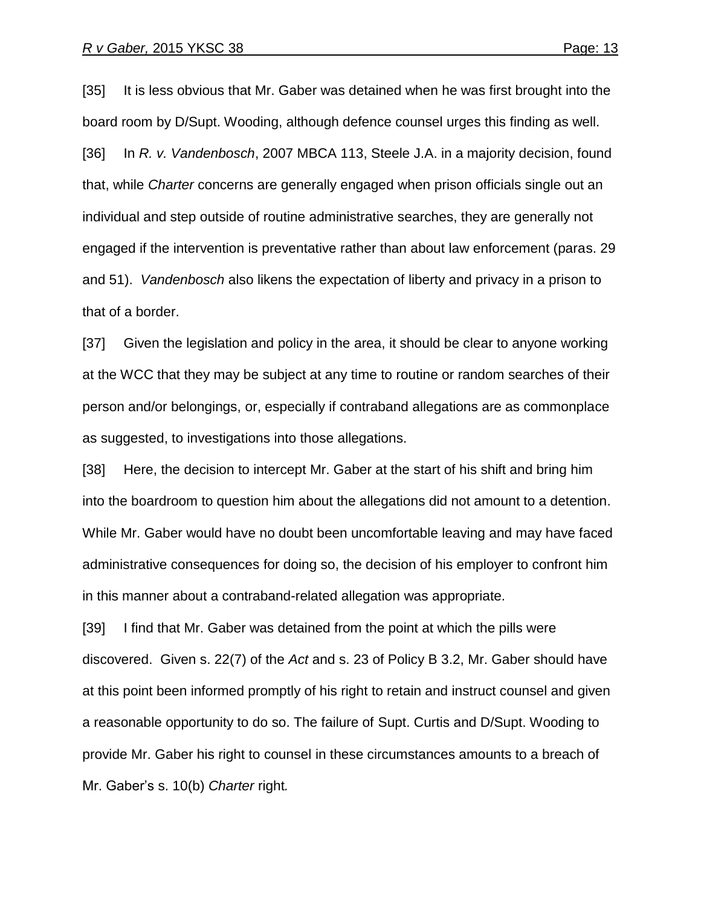[35] It is less obvious that Mr. Gaber was detained when he was first brought into the board room by D/Supt. Wooding, although defence counsel urges this finding as well. [36] In *R. v. Vandenbosch*, 2007 MBCA 113, Steele J.A. in a majority decision, found that, while *Charter* concerns are generally engaged when prison officials single out an individual and step outside of routine administrative searches, they are generally not engaged if the intervention is preventative rather than about law enforcement (paras. 29 and 51). *Vandenbosch* also likens the expectation of liberty and privacy in a prison to that of a border.

[37] Given the legislation and policy in the area, it should be clear to anyone working at the WCC that they may be subject at any time to routine or random searches of their person and/or belongings, or, especially if contraband allegations are as commonplace as suggested, to investigations into those allegations.

[38] Here, the decision to intercept Mr. Gaber at the start of his shift and bring him into the boardroom to question him about the allegations did not amount to a detention. While Mr. Gaber would have no doubt been uncomfortable leaving and may have faced administrative consequences for doing so, the decision of his employer to confront him in this manner about a contraband-related allegation was appropriate.

[39] I find that Mr. Gaber was detained from the point at which the pills were discovered. Given s. 22(7) of the *Act* and s. 23 of Policy B 3.2, Mr. Gaber should have at this point been informed promptly of his right to retain and instruct counsel and given a reasonable opportunity to do so. The failure of Supt. Curtis and D/Supt. Wooding to provide Mr. Gaber his right to counsel in these circumstances amounts to a breach of Mr. Gaber"s s. 10(b) *Charter* right*.*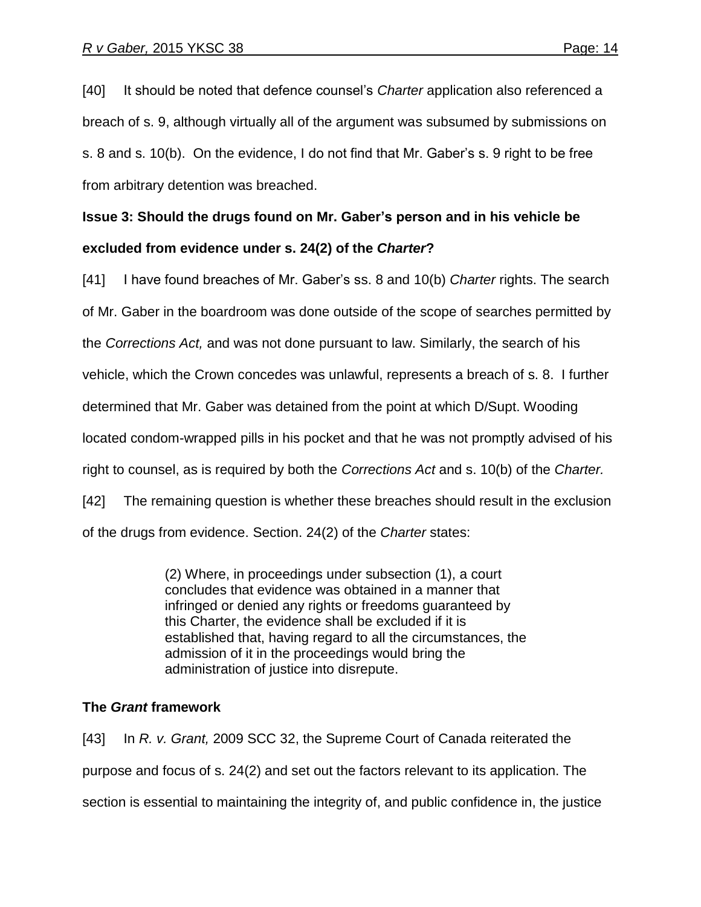[40] It should be noted that defence counsel"s *Charter* application also referenced a breach of s. 9, although virtually all of the argument was subsumed by submissions on s. 8 and s. 10(b). On the evidence, I do not find that Mr. Gaber"s s. 9 right to be free from arbitrary detention was breached.

# **Issue 3: Should the drugs found on Mr. Gaber's person and in his vehicle be excluded from evidence under s. 24(2) of the** *Charter***?**

[41] I have found breaches of Mr. Gaber"s ss. 8 and 10(b) *Charter* rights. The search of Mr. Gaber in the boardroom was done outside of the scope of searches permitted by the *Corrections Act,* and was not done pursuant to law. Similarly, the search of his vehicle, which the Crown concedes was unlawful, represents a breach of s. 8. I further determined that Mr. Gaber was detained from the point at which D/Supt. Wooding located condom-wrapped pills in his pocket and that he was not promptly advised of his right to counsel, as is required by both the *Corrections Act* and s. 10(b) of the *Charter.*  [42] The remaining question is whether these breaches should result in the exclusion of the drugs from evidence. Section. 24(2) of the *Charter* states:

> (2) Where, in proceedings under subsection (1), a court concludes that evidence was obtained in a manner that infringed or denied any rights or freedoms guaranteed by this Charter, the evidence shall be excluded if it is established that, having regard to all the circumstances, the admission of it in the proceedings would bring the administration of justice into disrepute.

## **The** *Grant* **framework**

[43] In *R. v. Grant,* 2009 SCC 32, the Supreme Court of Canada reiterated the purpose and focus of s. 24(2) and set out the factors relevant to its application. The section is essential to maintaining the integrity of, and public confidence in, the justice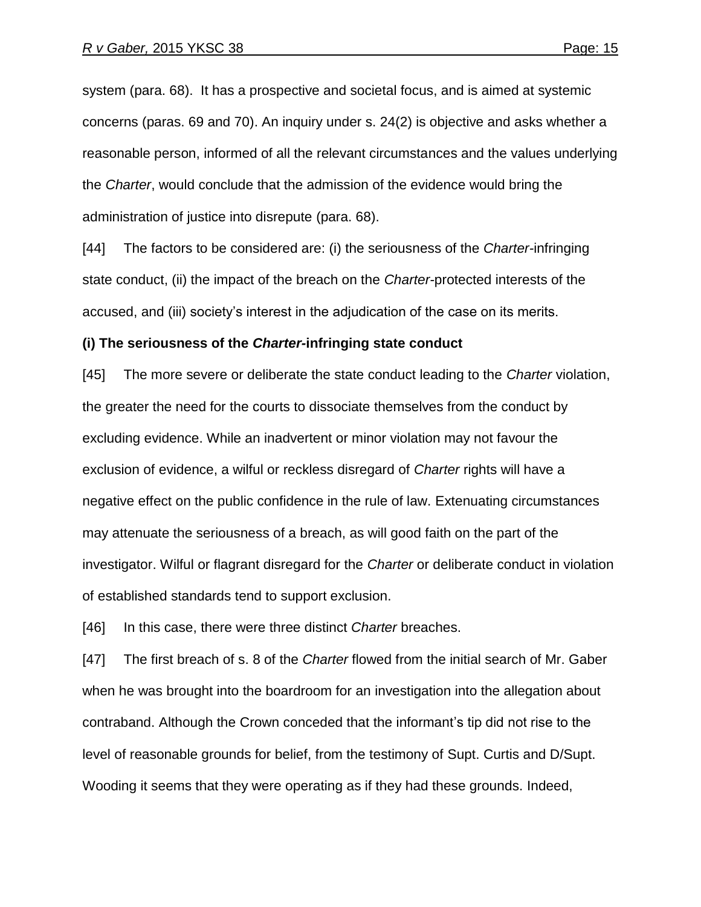system (para. 68). It has a prospective and societal focus, and is aimed at systemic concerns (paras. 69 and 70). An inquiry under s. 24(2) is objective and asks whether a reasonable person, informed of all the relevant circumstances and the values underlying the *Charter*, would conclude that the admission of the evidence would bring the administration of justice into disrepute (para. 68).

[44] The factors to be considered are: (i) the seriousness of the *Charter-*infringing state conduct, (ii) the impact of the breach on the *Charter-*protected interests of the accused, and (iii) society"s interest in the adjudication of the case on its merits.

#### **(i) The seriousness of the** *Charter-***infringing state conduct**

[45] The more severe or deliberate the state conduct leading to the *Charter* violation, the greater the need for the courts to dissociate themselves from the conduct by excluding evidence. While an inadvertent or minor violation may not favour the exclusion of evidence, a wilful or reckless disregard of *Charter* rights will have a negative effect on the public confidence in the rule of law. Extenuating circumstances may attenuate the seriousness of a breach, as will good faith on the part of the investigator. Wilful or flagrant disregard for the *Charter* or deliberate conduct in violation of established standards tend to support exclusion.

[46] In this case, there were three distinct *Charter* breaches.

[47] The first breach of s. 8 of the *Charter* flowed from the initial search of Mr. Gaber when he was brought into the boardroom for an investigation into the allegation about contraband. Although the Crown conceded that the informant"s tip did not rise to the level of reasonable grounds for belief, from the testimony of Supt. Curtis and D/Supt. Wooding it seems that they were operating as if they had these grounds. Indeed,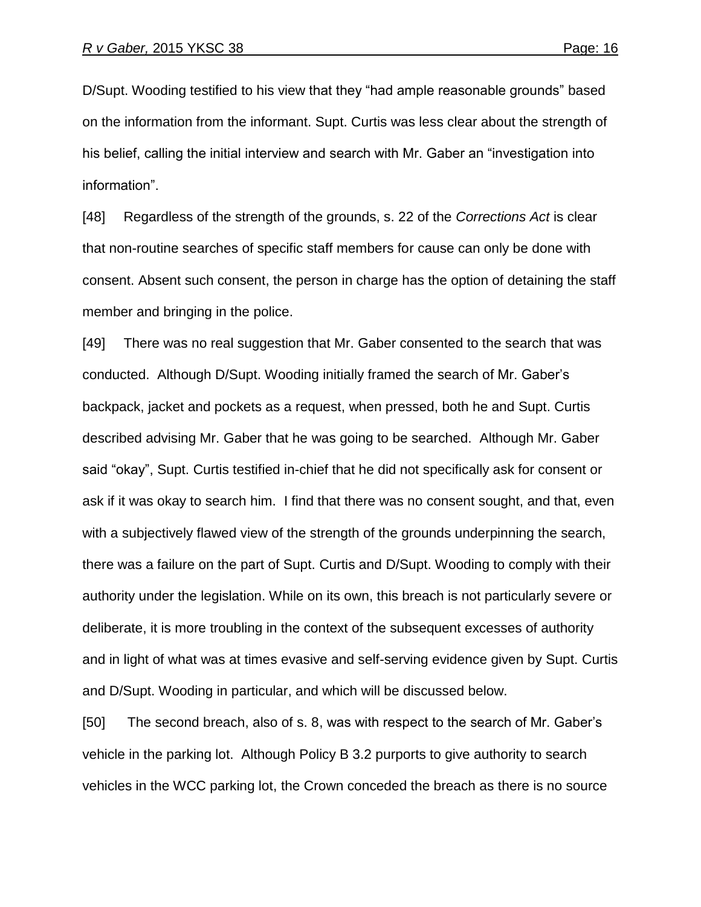D/Supt. Wooding testified to his view that they "had ample reasonable grounds" based on the information from the informant. Supt. Curtis was less clear about the strength of his belief, calling the initial interview and search with Mr. Gaber an "investigation into information".

[48] Regardless of the strength of the grounds, s. 22 of the *Corrections Act* is clear that non-routine searches of specific staff members for cause can only be done with consent. Absent such consent, the person in charge has the option of detaining the staff member and bringing in the police.

[49] There was no real suggestion that Mr. Gaber consented to the search that was conducted. Although D/Supt. Wooding initially framed the search of Mr. Gaber"s backpack, jacket and pockets as a request, when pressed, both he and Supt. Curtis described advising Mr. Gaber that he was going to be searched. Although Mr. Gaber said "okay", Supt. Curtis testified in-chief that he did not specifically ask for consent or ask if it was okay to search him. I find that there was no consent sought, and that, even with a subjectively flawed view of the strength of the grounds underpinning the search, there was a failure on the part of Supt. Curtis and D/Supt. Wooding to comply with their authority under the legislation. While on its own, this breach is not particularly severe or deliberate, it is more troubling in the context of the subsequent excesses of authority and in light of what was at times evasive and self-serving evidence given by Supt. Curtis and D/Supt. Wooding in particular, and which will be discussed below.

[50] The second breach, also of s. 8, was with respect to the search of Mr. Gaber"s vehicle in the parking lot. Although Policy B 3.2 purports to give authority to search vehicles in the WCC parking lot, the Crown conceded the breach as there is no source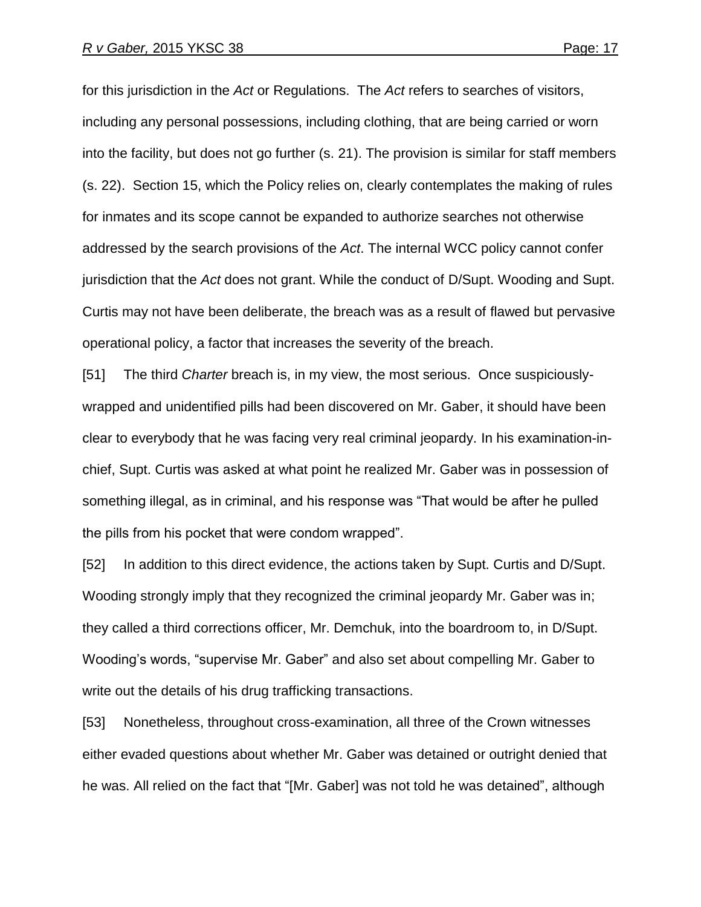for this jurisdiction in the *Act* or Regulations. The *Act* refers to searches of visitors, including any personal possessions, including clothing, that are being carried or worn into the facility, but does not go further (s. 21). The provision is similar for staff members (s. 22). Section 15, which the Policy relies on, clearly contemplates the making of rules for inmates and its scope cannot be expanded to authorize searches not otherwise addressed by the search provisions of the *Act*. The internal WCC policy cannot confer jurisdiction that the *Act* does not grant. While the conduct of D/Supt. Wooding and Supt. Curtis may not have been deliberate, the breach was as a result of flawed but pervasive operational policy, a factor that increases the severity of the breach.

[51] The third *Charter* breach is, in my view, the most serious. Once suspiciouslywrapped and unidentified pills had been discovered on Mr. Gaber, it should have been clear to everybody that he was facing very real criminal jeopardy. In his examination-inchief, Supt. Curtis was asked at what point he realized Mr. Gaber was in possession of something illegal, as in criminal, and his response was "That would be after he pulled the pills from his pocket that were condom wrapped".

[52] In addition to this direct evidence, the actions taken by Supt. Curtis and D/Supt. Wooding strongly imply that they recognized the criminal jeopardy Mr. Gaber was in; they called a third corrections officer, Mr. Demchuk, into the boardroom to, in D/Supt. Wooding"s words, "supervise Mr. Gaber" and also set about compelling Mr. Gaber to write out the details of his drug trafficking transactions.

[53] Nonetheless, throughout cross-examination, all three of the Crown witnesses either evaded questions about whether Mr. Gaber was detained or outright denied that he was. All relied on the fact that "[Mr. Gaber] was not told he was detained", although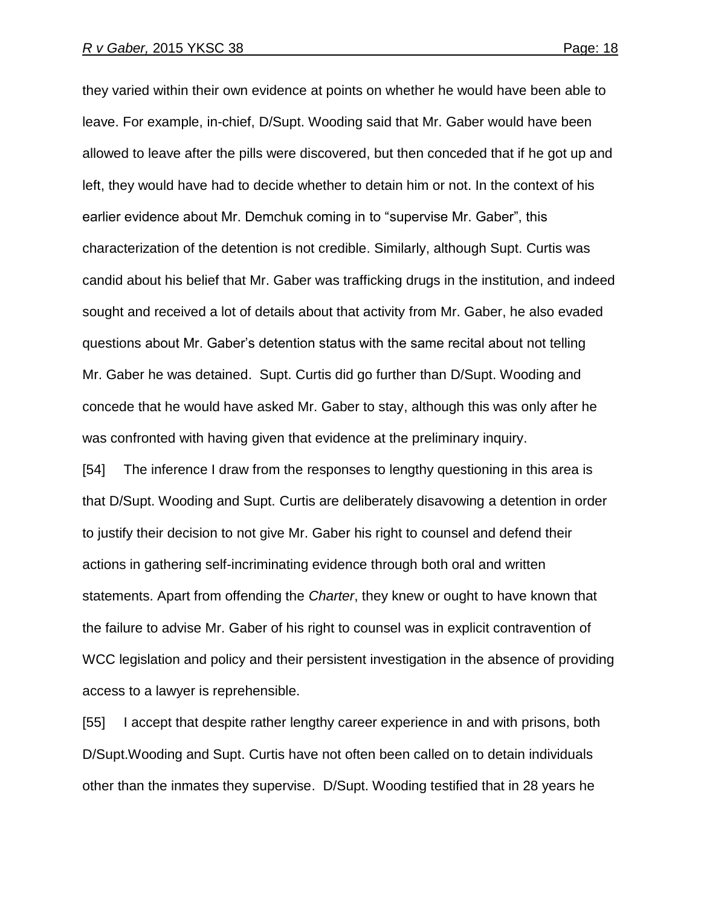they varied within their own evidence at points on whether he would have been able to leave. For example, in-chief, D/Supt. Wooding said that Mr. Gaber would have been allowed to leave after the pills were discovered, but then conceded that if he got up and left, they would have had to decide whether to detain him or not. In the context of his earlier evidence about Mr. Demchuk coming in to "supervise Mr. Gaber", this characterization of the detention is not credible. Similarly, although Supt. Curtis was candid about his belief that Mr. Gaber was trafficking drugs in the institution, and indeed sought and received a lot of details about that activity from Mr. Gaber, he also evaded questions about Mr. Gaber"s detention status with the same recital about not telling Mr. Gaber he was detained. Supt. Curtis did go further than D/Supt. Wooding and concede that he would have asked Mr. Gaber to stay, although this was only after he was confronted with having given that evidence at the preliminary inquiry.

[54] The inference I draw from the responses to lengthy questioning in this area is that D/Supt. Wooding and Supt. Curtis are deliberately disavowing a detention in order to justify their decision to not give Mr. Gaber his right to counsel and defend their actions in gathering self-incriminating evidence through both oral and written statements. Apart from offending the *Charter*, they knew or ought to have known that the failure to advise Mr. Gaber of his right to counsel was in explicit contravention of WCC legislation and policy and their persistent investigation in the absence of providing access to a lawyer is reprehensible.

[55] I accept that despite rather lengthy career experience in and with prisons, both D/Supt.Wooding and Supt. Curtis have not often been called on to detain individuals other than the inmates they supervise. D/Supt. Wooding testified that in 28 years he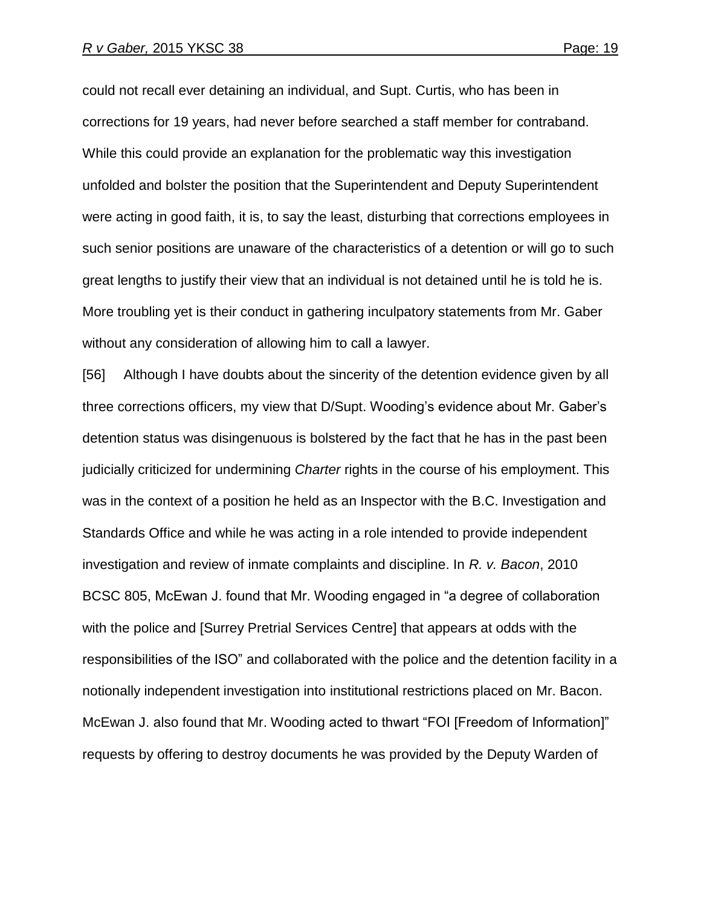could not recall ever detaining an individual, and Supt. Curtis, who has been in corrections for 19 years, had never before searched a staff member for contraband. While this could provide an explanation for the problematic way this investigation unfolded and bolster the position that the Superintendent and Deputy Superintendent were acting in good faith, it is, to say the least, disturbing that corrections employees in such senior positions are unaware of the characteristics of a detention or will go to such great lengths to justify their view that an individual is not detained until he is told he is. More troubling yet is their conduct in gathering inculpatory statements from Mr. Gaber without any consideration of allowing him to call a lawyer.

[56] Although I have doubts about the sincerity of the detention evidence given by all three corrections officers, my view that D/Supt. Wooding"s evidence about Mr. Gaber"s detention status was disingenuous is bolstered by the fact that he has in the past been judicially criticized for undermining *Charter* rights in the course of his employment. This was in the context of a position he held as an Inspector with the B.C. Investigation and Standards Office and while he was acting in a role intended to provide independent investigation and review of inmate complaints and discipline. In *R. v. Bacon*, 2010 BCSC 805, McEwan J. found that Mr. Wooding engaged in "a degree of collaboration with the police and [Surrey Pretrial Services Centre] that appears at odds with the responsibilities of the ISO" and collaborated with the police and the detention facility in a notionally independent investigation into institutional restrictions placed on Mr. Bacon. McEwan J. also found that Mr. Wooding acted to thwart "FOI [Freedom of Information]" requests by offering to destroy documents he was provided by the Deputy Warden of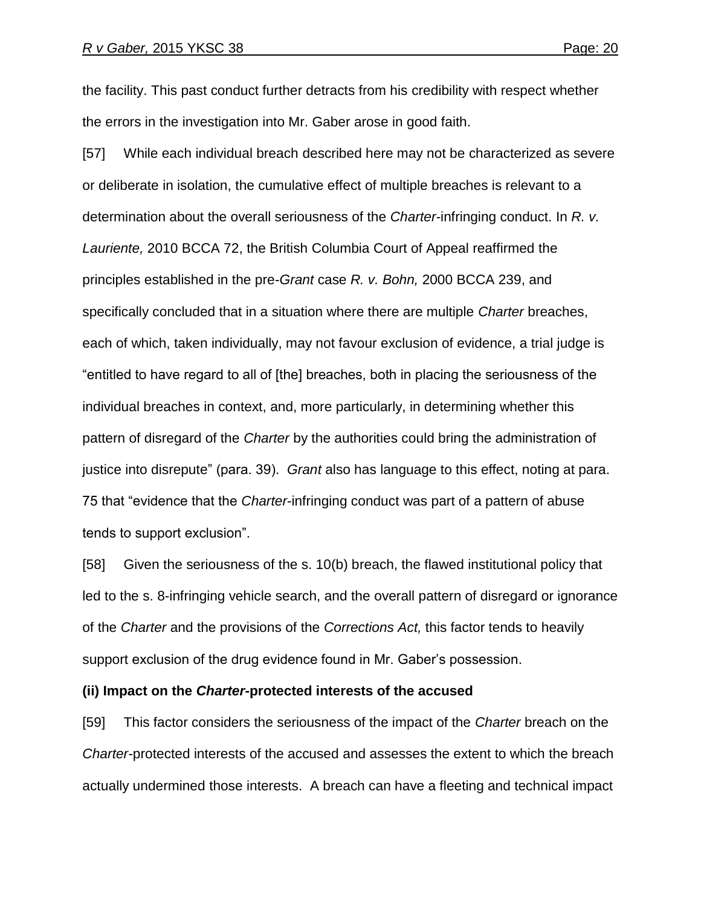the facility. This past conduct further detracts from his credibility with respect whether the errors in the investigation into Mr. Gaber arose in good faith.

[57] While each individual breach described here may not be characterized as severe or deliberate in isolation, the cumulative effect of multiple breaches is relevant to a determination about the overall seriousness of the *Charter-*infringing conduct. In *R. v. Lauriente,* 2010 BCCA 72, the British Columbia Court of Appeal reaffirmed the principles established in the pre-*Grant* case *R. v. Bohn,* 2000 BCCA 239, and specifically concluded that in a situation where there are multiple *Charter* breaches, each of which, taken individually, may not favour exclusion of evidence, a trial judge is "entitled to have regard to all of [the] breaches, both in placing the seriousness of the individual breaches in context, and, more particularly, in determining whether this pattern of disregard of the *Charter* by the authorities could bring the administration of justice into disrepute" (para. 39). *Grant* also has language to this effect, noting at para. 75 that "evidence that the *Charter*-infringing conduct was part of a pattern of abuse tends to support exclusion".

[58] Given the seriousness of the s. 10(b) breach, the flawed institutional policy that led to the s. 8-infringing vehicle search, and the overall pattern of disregard or ignorance of the *Charter* and the provisions of the *Corrections Act,* this factor tends to heavily support exclusion of the drug evidence found in Mr. Gaber"s possession.

#### **(ii) Impact on the** *Charter-***protected interests of the accused**

[59] This factor considers the seriousness of the impact of the *Charter* breach on the *Charter-*protected interests of the accused and assesses the extent to which the breach actually undermined those interests. A breach can have a fleeting and technical impact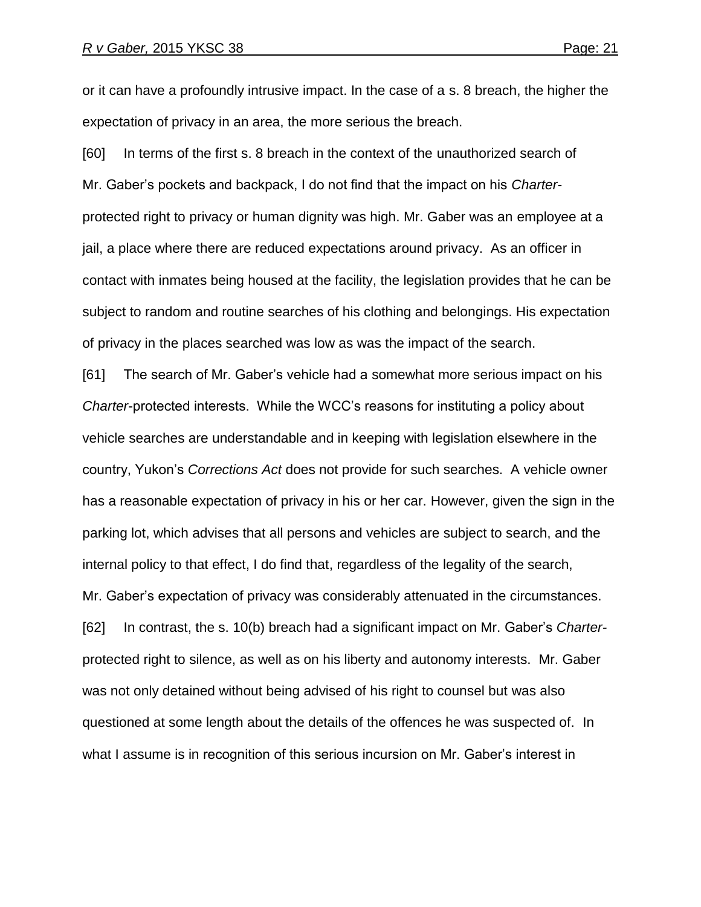or it can have a profoundly intrusive impact. In the case of a s. 8 breach, the higher the expectation of privacy in an area, the more serious the breach.

[60] In terms of the first s. 8 breach in the context of the unauthorized search of Mr. Gaber"s pockets and backpack, I do not find that the impact on his *Charter*protected right to privacy or human dignity was high. Mr. Gaber was an employee at a jail, a place where there are reduced expectations around privacy. As an officer in contact with inmates being housed at the facility, the legislation provides that he can be subject to random and routine searches of his clothing and belongings. His expectation of privacy in the places searched was low as was the impact of the search.

[61] The search of Mr. Gaber"s vehicle had a somewhat more serious impact on his *Charter*-protected interests. While the WCC"s reasons for instituting a policy about vehicle searches are understandable and in keeping with legislation elsewhere in the country, Yukon"s *Corrections Act* does not provide for such searches. A vehicle owner has a reasonable expectation of privacy in his or her car. However, given the sign in the parking lot, which advises that all persons and vehicles are subject to search, and the internal policy to that effect, I do find that, regardless of the legality of the search, Mr. Gaber"s expectation of privacy was considerably attenuated in the circumstances. [62] In contrast, the s. 10(b) breach had a significant impact on Mr. Gaber"s *Charter*protected right to silence, as well as on his liberty and autonomy interests. Mr. Gaber was not only detained without being advised of his right to counsel but was also questioned at some length about the details of the offences he was suspected of. In what I assume is in recognition of this serious incursion on Mr. Gaber"s interest in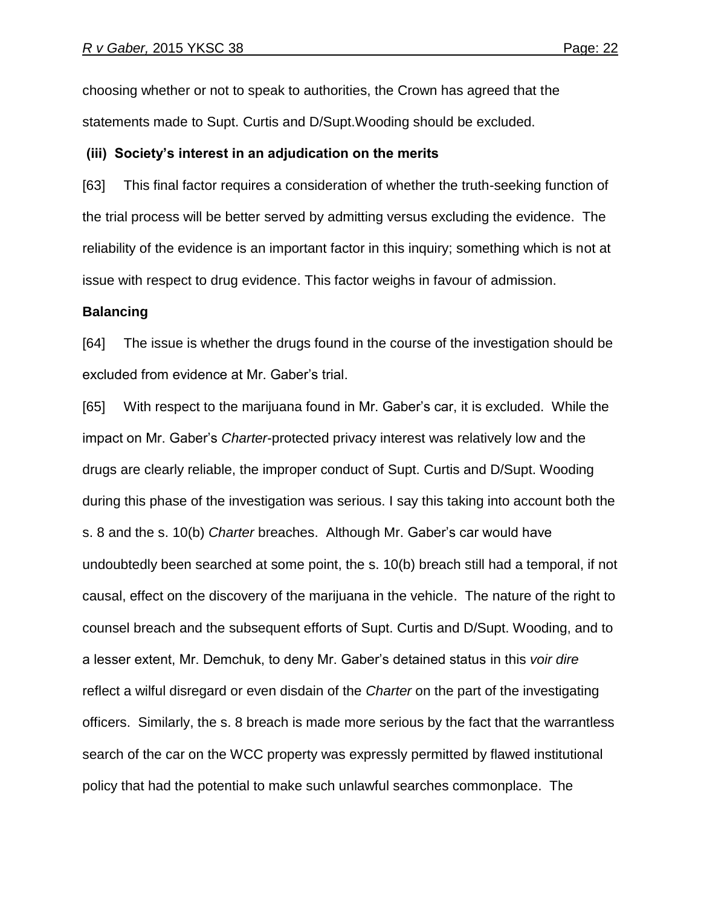choosing whether or not to speak to authorities, the Crown has agreed that the statements made to Supt. Curtis and D/Supt.Wooding should be excluded.

#### **(iii) Society's interest in an adjudication on the merits**

[63] This final factor requires a consideration of whether the truth-seeking function of the trial process will be better served by admitting versus excluding the evidence. The reliability of the evidence is an important factor in this inquiry; something which is not at issue with respect to drug evidence. This factor weighs in favour of admission.

#### **Balancing**

[64] The issue is whether the drugs found in the course of the investigation should be excluded from evidence at Mr. Gaber"s trial.

[65] With respect to the marijuana found in Mr. Gaber"s car, it is excluded. While the impact on Mr. Gaber"s *Charter*-protected privacy interest was relatively low and the drugs are clearly reliable, the improper conduct of Supt. Curtis and D/Supt. Wooding during this phase of the investigation was serious. I say this taking into account both the s. 8 and the s. 10(b) *Charter* breaches. Although Mr. Gaber"s car would have undoubtedly been searched at some point, the s. 10(b) breach still had a temporal, if not causal, effect on the discovery of the marijuana in the vehicle. The nature of the right to counsel breach and the subsequent efforts of Supt. Curtis and D/Supt. Wooding, and to a lesser extent, Mr. Demchuk, to deny Mr. Gaber"s detained status in this *voir dire* reflect a wilful disregard or even disdain of the *Charter* on the part of the investigating officers. Similarly, the s. 8 breach is made more serious by the fact that the warrantless search of the car on the WCC property was expressly permitted by flawed institutional policy that had the potential to make such unlawful searches commonplace. The